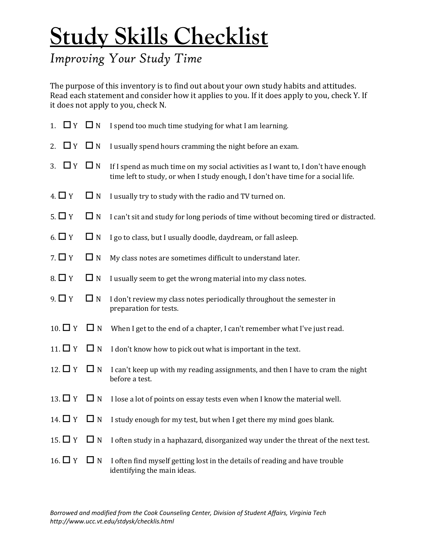## **Study Skills Checklist**

## *Improving Your Study Time*

The purpose of this inventory is to find out about your own study habits and attitudes. Read each statement and consider how it applies to you. If it does apply to you, check Y. If it does not apply to you, check N.

| $\Box$ Y $\Box$ N<br>1. |          | I spend too much time studying for what I am learning.                                                                                                                |
|-------------------------|----------|-----------------------------------------------------------------------------------------------------------------------------------------------------------------------|
| $\Box$ Y $\Box$ N<br>2. |          | I usually spend hours cramming the night before an exam.                                                                                                              |
| $\Box$ Y $\Box$ N<br>3. |          | If I spend as much time on my social activities as I want to, I don't have enough<br>time left to study, or when I study enough, I don't have time for a social life. |
| $4. \Box Y$             | $\Box$ N | I usually try to study with the radio and TV turned on.                                                                                                               |
| $5. \Box Y$             | $\Box$ N | I can't sit and study for long periods of time without becoming tired or distracted.                                                                                  |
| 6. $\Box$ Y             | $\Box$ N | I go to class, but I usually doodle, daydream, or fall asleep.                                                                                                        |
| 7. $\Box$ Y             | $\Box$ N | My class notes are sometimes difficult to understand later.                                                                                                           |
| $8. \Box Y$             | $\Box$ N | I usually seem to get the wrong material into my class notes.                                                                                                         |
| $9. \Box Y$             | $\Box$ N | I don't review my class notes periodically throughout the semester in<br>preparation for tests.                                                                       |
| $10.\Box Y$             | $\Box$ N | When I get to the end of a chapter, I can't remember what I've just read.                                                                                             |
| 11. $\Box$ Y            | $\Box$ N | I don't know how to pick out what is important in the text.                                                                                                           |
| 12. $\Box$ Y            | $\Box$ N | I can't keep up with my reading assignments, and then I have to cram the night<br>before a test.                                                                      |
| 13. $\Box$ Y $\Box$ N   |          | I lose a lot of points on essay tests even when I know the material well.                                                                                             |
| 14. $\Box$ Y $\Box$ N   |          | I study enough for my test, but when I get there my mind goes blank.                                                                                                  |
| 15. $\Box$ Y            | $\Box$ N | I often study in a haphazard, disorganized way under the threat of the next test.                                                                                     |
| 16. $\Box$ Y            | $\Box$ N | I often find myself getting lost in the details of reading and have trouble<br>identifying the main ideas.                                                            |